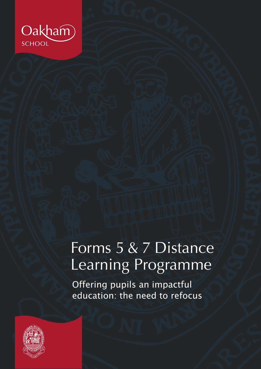

# Forms 5 & 7 Distance Learning Programme

Offering pupils an impactful education: the need to refocus

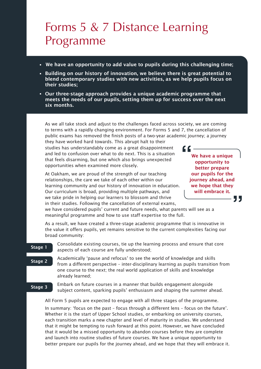### Forms 5 & 7 Distance Learning Programme

- We have an opportunity to add value to pupils during this challenging time;
- Building on our history of innovation, we believe there is great potential to blend contemporary studies with new activities, as we help pupils focus on their studies;
- Our three-stage approach provides a unique academic programme that meets the needs of our pupils, setting them up for success over the next six months.

As we all take stock and adjust to the challenges faced across society, we are coming to terms with a rapidly changing environment. For Forms 5 and 7, the cancellation of public exams has removed the finish posts of a two-year academic journey; a journey

they have worked hard towards. This abrupt halt to their studies has understandably come as a great disappointment and led to confusion over what to do next. This is a situation that feels disarming, but one which also brings unexpected opportunities when examined more closely.

At Oakham, we are proud of the strength of our teaching relationships, the care we take of each other within our learning community and our history of innovation in education. Our curriculum is broad, providing multiple pathways, and we take pride in helping our learners to blossom and thrive in their studies. Following the cancellation of external exams,

We have a unique opportunity to better prepare our pupils for the journey ahead, and we hope that they will embrace it.  $C$ 

"

we have considered pupils' current and future needs, what parents will see as a meaningful programme and how to use staff expertise to the full.

As a result, we have created a three-stage academic programme that is innovative in the value it offers pupils, yet remains sensitive to the current complexities facing our broad community:

#### Stage 1

Stage 2

Consolidate existing courses, tie up the learning process and ensure that core aspects of each course are fully understood;

Academically 'pause and refocus' to see the world of knowledge and skills from a different perspective – inter-disciplinary learning as pupils transition from one course to the next; the real world application of skills and knowledge already learned;

Stage 3

Embark on future courses in a manner that builds engagement alongside subject content, sparking pupils' enthusiasm and shaping the summer ahead.

All Form 5 pupils are expected to engage with all three stages of the programme.

In summary: 'focus on the past – focus through a different lens – focus on the future'. Whether it is the start of Upper School studies, or embarking on university courses, each transition marks a new chapter and level of maturity in studies. We understand that it might be tempting to rush forward at this point. However, we have concluded that it would be a missed opportunity to abandon courses before they are complete and launch into routine studies of future courses. We have a unique opportunity to better prepare our pupils for the journey ahead, and we hope that they will embrace it.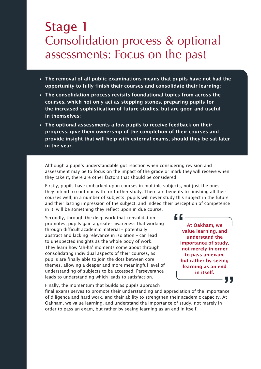### Stage 1 Consolidation process & optional assessments: Focus on the past

- The removal of all public examinations means that pupils have not had the opportunity to fully finish their courses and consolidate their learning;
- The consolidation process revisits foundational topics from across the courses, which not only act as stepping stones, preparing pupils for the increased sophistication of future studies, but are good and useful in themselves;
- The optional assessments allow pupils to receive feedback on their progress, give them ownership of the completion of their courses and provide insight that will help with external exams, should they be sat later in the year.

Although a pupil's understandable gut reaction when considering revision and assessment may be to focus on the impact of the grade or mark they will receive when they take it, there are other factors that should be considered.

Firstly, pupils have embarked upon courses in multiple subjects, not just the ones they intend to continue with for further study. There are benefits to finishing all their courses well; in a number of subjects, pupils will never study this subject in the future and their lasting impression of the subject, and indeed their perception of competence in it, will be something they reflect upon in due course.

Secondly, through the deep work that consolidation promotes, pupils gain a greater awareness that working through difficult academic material – potentially abstract and lacking relevance in isolation – can lead to unexpected insights as the whole body of work. They learn how 'ah-ha' moments come about through consolidating individual aspects of their courses, as pupils are finally able to join the dots between core themes, allowing a deeper and more meaningful level of understanding of subjects to be accessed. Perseverance leads to understanding which leads to satisfaction.

At Oakham, we value learning, and understand the importance of study, not merely in order to pass an exam, but rather by seeing learning as an end in itself.

<u>" C</u>

, ,

Finally, the momentum that builds as pupils approach

final exams serves to promote their understanding and appreciation of the importance of diligence and hard work, and their ability to strengthen their academic capacity. At Oakham, we value learning, and understand the importance of study, not merely in order to pass an exam, but rather by seeing learning as an end in itself.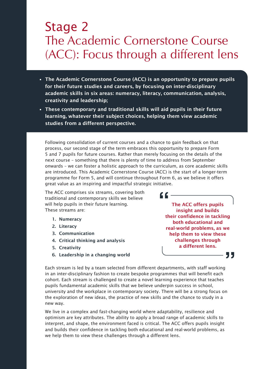# Stage 2 The Academic Cornerstone Course (ACC): Focus through a different lens

- The Academic Cornerstone Course (ACC) is an opportunity to prepare pupils for their future studies and careers, by focusing on inter-disciplinary academic skills in six areas: numeracy, literacy, communication, analysis, creativity and leadership;
- These contemporary and traditional skills will aid pupils in their future learning, whatever their subject choices, helping them view academic studies from a different perspective.

Following consolidation of current courses and a chance to gain feedback on that process, our second stage of the term embraces this opportunity to prepare Form 5 and 7 pupils for future courses. Rather than merely focusing on the details of the next course – something that there is plenty of time to address from September onwards – we can foster a holistic approach to the curriculum, as core academic skills are introduced. This Academic Cornerstone Course (ACC) is the start of a longer-term programme for Form 5, and will continue throughout Form 6, as we believe it offers great value as an inspiring and impactful strategic initiative.

"

The ACC comprises six streams, covering both traditional and contemporary skills we believe will help pupils in their future learning. These streams are:

- 1. Numeracy
- 2. Literacy
- 3. Communication
- 4. Critical thinking and analysis
- 5. Creativity
- 6. Leadership in a changing world

The ACC offers pupils insight and builds their confidence in tackling both educational and real-world problems, as we help them to view these challenges through a different lens.

Each stream is led by a team selected from different departments, with staff working in an inter-disciplinary fashion to create bespoke programmes that will benefit each cohort. Each stream is challenged to create a novel learning experience that teaches pupils fundamental academic skills that we believe underpin success in school, university and the workplace in contemporary society. There will be a strong focus on the exploration of new ideas, the practice of new skills and the chance to study in a new way.

We live in a complex and fast-changing world where adaptability, resilience and optimism are key attributes. The ability to apply a broad range of academic skills to interpret, and shape, the environment faced is critical. The ACC offers pupils insight and builds their confidence in tackling both educational and real-world problems, as we help them to view these challenges through a different lens.

55